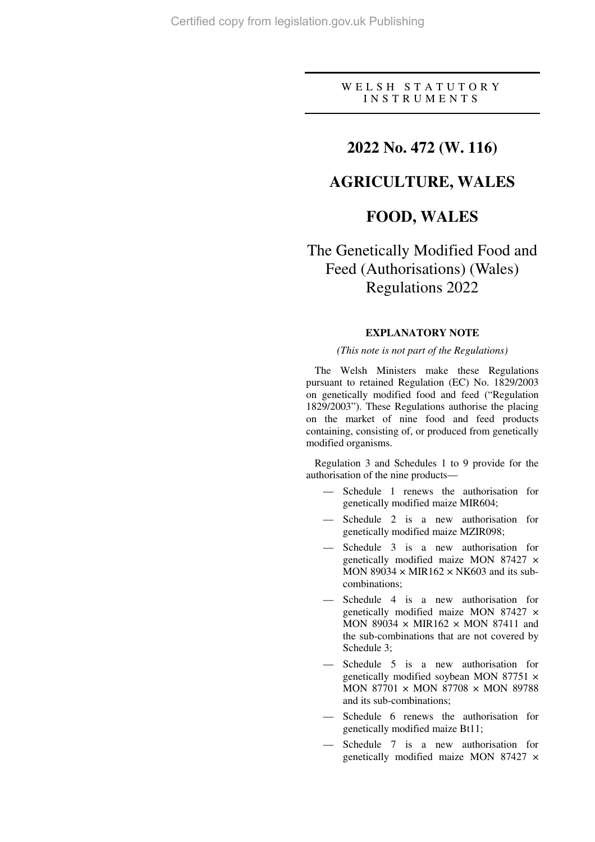## W E L S H S T A T U T O R Y I N S T R U M E N T S

# **2022 No. 472 (W. 116)**

# **AGRICULTURE, WALES**

# **FOOD, WALES**

# The Genetically Modified Food and Feed (Authorisations) (Wales) Regulations 2022

### **EXPLANATORY NOTE**

#### *(This note is not part of the Regulations)*

The Welsh Ministers make these Regulations pursuant to retained Regulation (EC) No. 1829/2003 on genetically modified food and feed ("Regulation 1829/2003"). These Regulations authorise the placing on the market of nine food and feed products containing, consisting of, or produced from genetically modified organisms.

Regulation 3 and Schedules 1 to 9 provide for the authorisation of the nine products—

- Schedule 1 renews the authorisation for genetically modified maize MIR604;
- Schedule 2 is a new authorisation for genetically modified maize MZIR098;
- Schedule 3 is a new authorisation for genetically modified maize MON 87427 × MON 89034  $\times$  MIR162  $\times$  NK603 and its subcombinations;
- Schedule 4 is a new authorisation for genetically modified maize MON 87427 × MON 89034  $\times$  MIR162  $\times$  MON 87411 and the sub-combinations that are not covered by Schedule 3;
- Schedule 5 is a new authorisation for genetically modified soybean MON 87751 × MON 87701  $\times$  MON 87708  $\times$  MON 89788 and its sub-combinations;
- Schedule 6 renews the authorisation for genetically modified maize Bt11;
- Schedule 7 is a new authorisation for genetically modified maize MON 87427 ×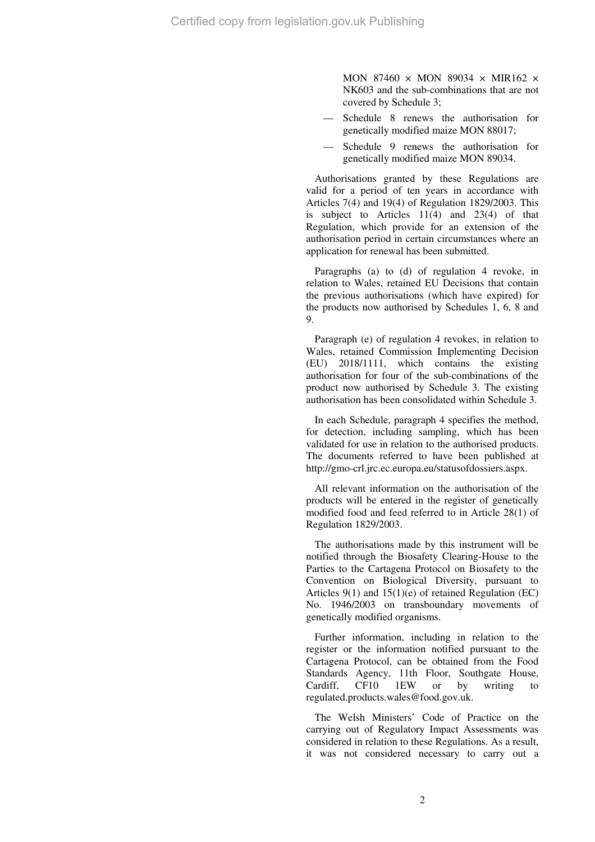MON 87460  $\times$  MON 89034  $\times$  MIR162  $\times$ NK603 and the sub-combinations that are not covered by Schedule 3;

- Schedule 8 renews the authorisation for genetically modified maize MON 88017;
- Schedule 9 renews the authorisation for genetically modified maize MON 89034.

Authorisations granted by these Regulations are valid for a period of ten years in accordance with Articles 7(4) and 19(4) of Regulation 1829/2003. This is subject to Articles  $11(4)$  and  $23(4)$  of that Regulation, which provide for an extension of the authorisation period in certain circumstances where an application for renewal has been submitted.

Paragraphs (a) to (d) of regulation 4 revoke, in relation to Wales, retained EU Decisions that contain the previous authorisations (which have expired) for the products now authorised by Schedules 1, 6, 8 and 9.

Paragraph (e) of regulation 4 revokes, in relation to Wales, retained Commission Implementing Decision (EU) 2018/1111, which contains the existing authorisation for four of the sub-combinations of the product now authorised by Schedule 3. The existing authorisation has been consolidated within Schedule 3.

In each Schedule, paragraph 4 specifies the method, for detection, including sampling, which has been validated for use in relation to the authorised products. The documents referred to have been published at http://gmo-crl.jrc.ec.europa.eu/statusofdossiers.aspx.

All relevant information on the authorisation of the products will be entered in the register of genetically modified food and feed referred to in Article 28(1) of Regulation 1829/2003.

The authorisations made by this instrument will be notified through the Biosafety Clearing-House to the Parties to the Cartagena Protocol on Biosafety to the Convention on Biological Diversity, pursuant to Articles 9(1) and 15(1)(e) of retained Regulation (EC) No. 1946/2003 on transboundary movements of genetically modified organisms.

Further information, including in relation to the register or the information notified pursuant to the Cartagena Protocol, can be obtained from the Food Standards Agency, 11th Floor, Southgate House, Cardiff, CF10 1EW or by writing to regulated.products.wales@food.gov.uk.

The Welsh Ministers' Code of Practice on the carrying out of Regulatory Impact Assessments was considered in relation to these Regulations. As a result, it was not considered necessary to carry out a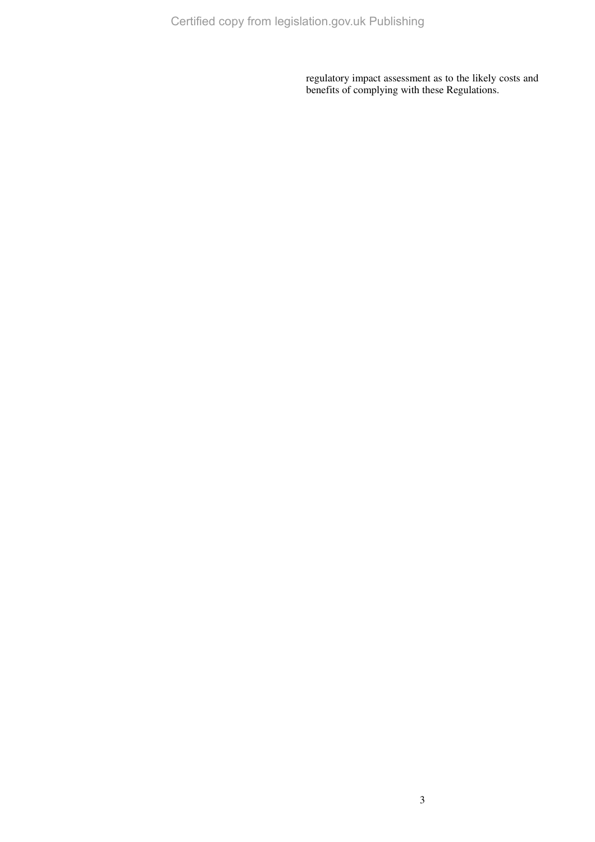regulatory impact assessment as to the likely costs and benefits of complying with these Regulations.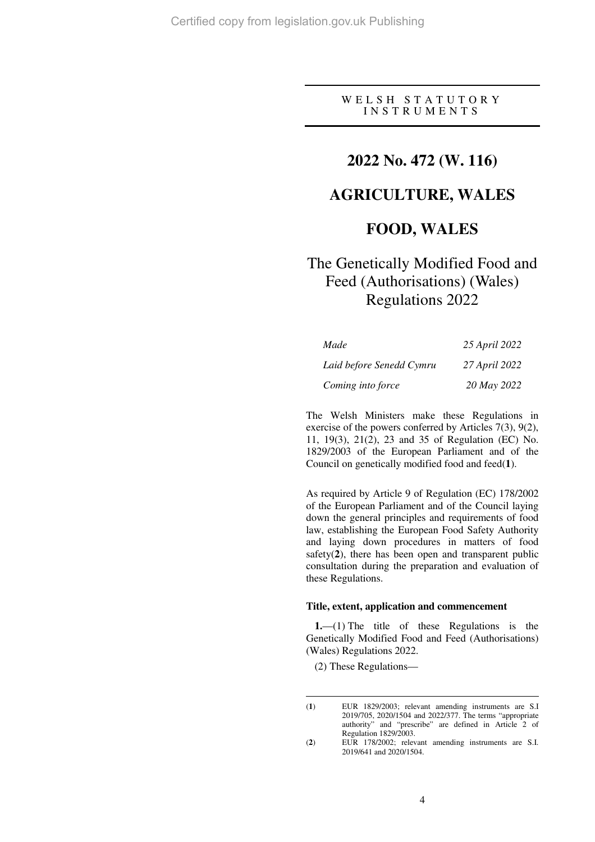W E L S H S T A T U T O R Y I N S T R U M E N T S

# **2022 No. 472 (W. 116)**

# **AGRICULTURE, WALES**

# **FOOD, WALES**

# The Genetically Modified Food and Feed (Authorisations) (Wales) Regulations 2022

| Made                     | 25 April 2022 |
|--------------------------|---------------|
| Laid before Senedd Cymru | 27 April 2022 |
| Coming into force        | 20 May 2022   |

The Welsh Ministers make these Regulations in exercise of the powers conferred by Articles 7(3), 9(2), 11, 19(3), 21(2), 23 and 35 of Regulation (EC) No. 1829/2003 of the European Parliament and of the Council on genetically modified food and feed(**1**).

As required by Article 9 of Regulation (EC) 178/2002 of the European Parliament and of the Council laying down the general principles and requirements of food law, establishing the European Food Safety Authority and laying down procedures in matters of food safety(**2**), there has been open and transparent public consultation during the preparation and evaluation of these Regulations.

## **Title, extent, application and commencement**

**1.**—(1) The title of these Regulations is the Genetically Modified Food and Feed (Authorisations) (Wales) Regulations 2022.

(2) These Regulations—

<sup>(</sup>**1**) EUR 1829/2003; relevant amending instruments are S.I 2019/705, 2020/1504 and 2022/377. The terms "appropriate authority" and "prescribe" are defined in Article 2 of Regulation 1829/2003.

<sup>(</sup>**2**) EUR 178/2002; relevant amending instruments are S.I. 2019/641 and 2020/1504.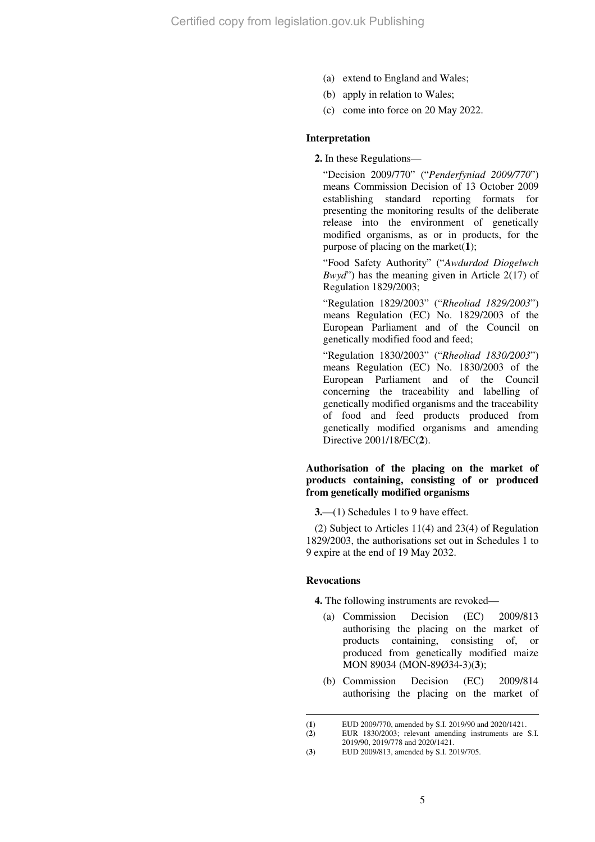- (a) extend to England and Wales;
- (b) apply in relation to Wales;
- (c) come into force on 20 May 2022.

### **Interpretation**

**2.** In these Regulations—

"Decision 2009/770" ("*Penderfyniad 2009/770*") means Commission Decision of 13 October 2009 establishing standard reporting formats for presenting the monitoring results of the deliberate release into the environment of genetically modified organisms, as or in products, for the purpose of placing on the market(**1**);

"Food Safety Authority" ("*Awdurdod Diogelwch Bwyd*") has the meaning given in Article 2(17) of Regulation 1829/2003;

"Regulation 1829/2003" ("*Rheoliad 1829/2003*") means Regulation (EC) No. 1829/2003 of the European Parliament and of the Council on genetically modified food and feed;

"Regulation 1830/2003" ("*Rheoliad 1830/2003*") means Regulation (EC) No. 1830/2003 of the European Parliament and of the Council concerning the traceability and labelling of genetically modified organisms and the traceability of food and feed products produced from genetically modified organisms and amending Directive 2001/18/EC(**2**).

### **Authorisation of the placing on the market of products containing, consisting of or produced from genetically modified organisms**

**3.**—(1) Schedules 1 to 9 have effect.

(2) Subject to Articles 11(4) and 23(4) of Regulation 1829/2003, the authorisations set out in Schedules 1 to 9 expire at the end of 19 May 2032.

#### **Revocations**

 $\overline{a}$ 

**4.** The following instruments are revoked—

- (a) Commission Decision (EC) 2009/813 authorising the placing on the market of products containing, consisting of, or produced from genetically modified maize MON 89034 (MON-89Ø34-3)(**3**);
- (b) Commission Decision (EC) 2009/814 authorising the placing on the market of

<sup>(</sup>**1**) EUD 2009/770, amended by S.I. 2019/90 and 2020/1421.

<sup>(</sup>**2**) EUR 1830/2003; relevant amending instruments are S.I.

<sup>2019/90, 2019/778</sup> and 2020/1421.

<sup>(</sup>**3**) EUD 2009/813, amended by S.I. 2019/705.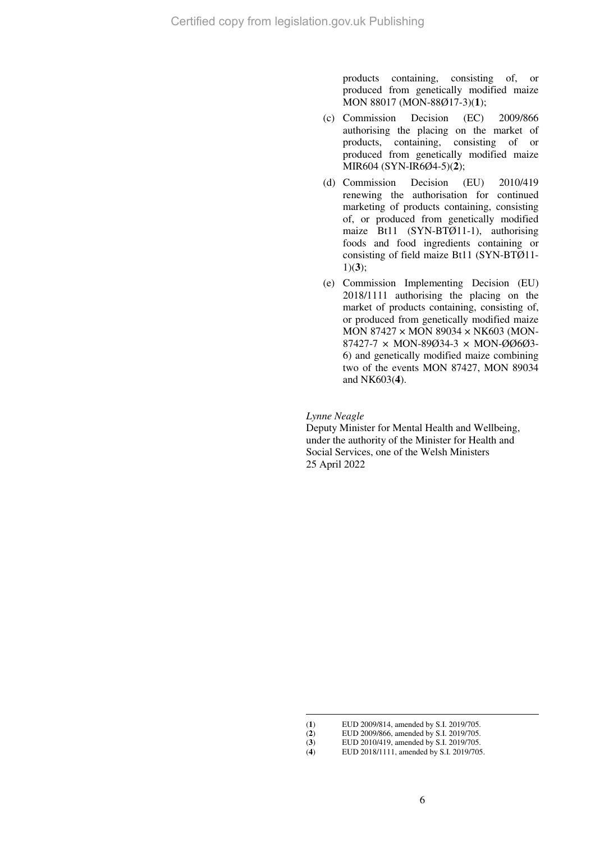products containing, consisting of, or produced from genetically modified maize MON 88017 (MON-88Ø17-3)(**1**);

- (c) Commission Decision (EC) 2009/866 authorising the placing on the market of products, containing, consisting of or produced from genetically modified maize MIR604 (SYN-IR6Ø4-5)(**2**);
- (d) Commission Decision (EU) 2010/419 renewing the authorisation for continued marketing of products containing, consisting of, or produced from genetically modified maize Bt11 (SYN-BTØ11-1), authorising foods and food ingredients containing or consisting of field maize Bt11 (SYN-BTØ11- 1)(**3**);
- (e) Commission Implementing Decision (EU) 2018/1111 authorising the placing on the market of products containing, consisting of, or produced from genetically modified maize MON 87427 × MON 89034 × NK603 (MON-87427-7 × MON-89Ø34-3 × MON-ØØ6Ø3- 6) and genetically modified maize combining two of the events MON 87427, MON 89034 and NK603(**4**).

*Lynne Neagle*

Deputy Minister for Mental Health and Wellbeing, under the authority of the Minister for Health and Social Services, one of the Welsh Ministers 25 April 2022

<sup>(</sup>**1**) EUD 2009/814, amended by S.I. 2019/705.

<sup>(</sup>**2**) EUD 2009/866, amended by S.I. 2019/705.

<sup>(</sup>**3**) EUD 2010/419, amended by S.I. 2019/705.<br>(**4**) EUD 2018/1111, amended by S.I. 2019/705.

<sup>(</sup>**4**) EUD 2018/1111, amended by S.I. 2019/705.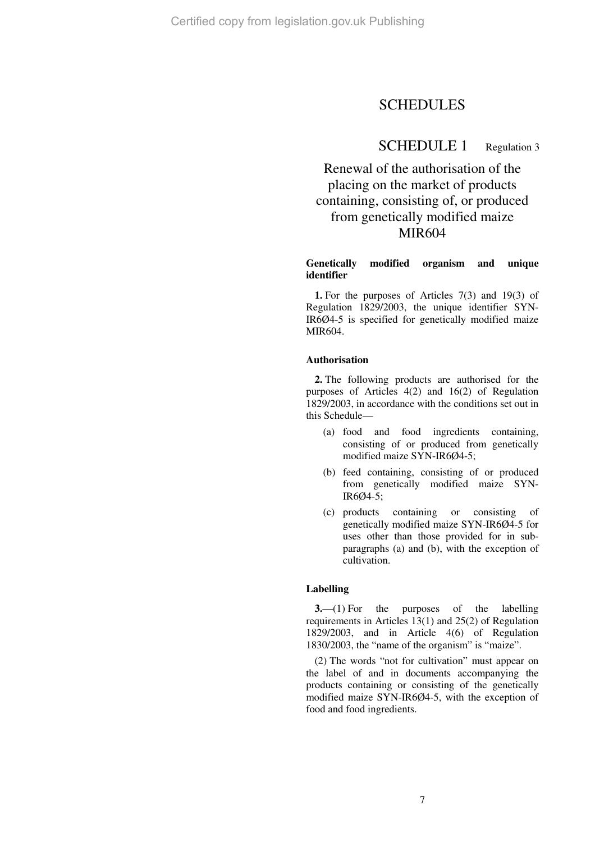# SCHEDULES

## SCHEDULE 1 Regulation 3

# Renewal of the authorisation of the placing on the market of products containing, consisting of, or produced from genetically modified maize MIR604

#### **Genetically modified organism and unique identifier**

**1.** For the purposes of Articles 7(3) and 19(3) of Regulation 1829/2003, the unique identifier SYN-IR6Ø4-5 is specified for genetically modified maize MIR604.

#### **Authorisation**

**2.** The following products are authorised for the purposes of Articles 4(2) and 16(2) of Regulation 1829/2003, in accordance with the conditions set out in this Schedule—

- (a) food and food ingredients containing, consisting of or produced from genetically modified maize SYN-IR6Ø4-5;
- (b) feed containing, consisting of or produced from genetically modified maize SYN-IR6Ø4-5;
- (c) products containing or consisting of genetically modified maize SYN-IR6Ø4-5 for uses other than those provided for in subparagraphs (a) and (b), with the exception of cultivation.

#### **Labelling**

**3.**—(1) For the purposes of the labelling requirements in Articles 13(1) and 25(2) of Regulation 1829/2003, and in Article 4(6) of Regulation 1830/2003, the "name of the organism" is "maize".

(2) The words "not for cultivation" must appear on the label of and in documents accompanying the products containing or consisting of the genetically modified maize SYN-IR6Ø4-5, with the exception of food and food ingredients.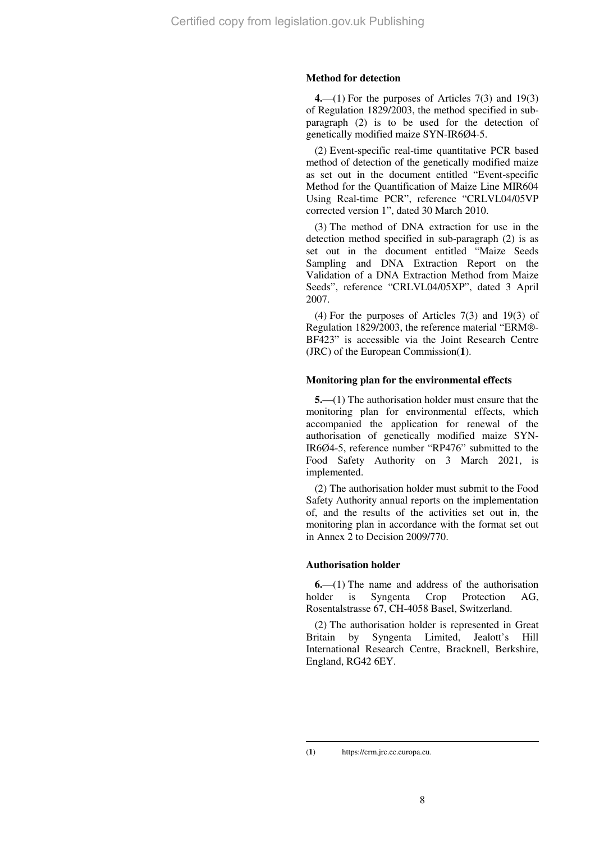#### **Method for detection**

**4.**—(1) For the purposes of Articles 7(3) and 19(3) of Regulation 1829/2003, the method specified in subparagraph (2) is to be used for the detection of genetically modified maize SYN-IR6Ø4-5.

(2) Event-specific real-time quantitative PCR based method of detection of the genetically modified maize as set out in the document entitled "Event-specific Method for the Quantification of Maize Line MIR604 Using Real-time PCR", reference "CRLVL04/05VP corrected version 1", dated 30 March 2010.

(3) The method of DNA extraction for use in the detection method specified in sub-paragraph (2) is as set out in the document entitled "Maize Seeds Sampling and DNA Extraction Report on the Validation of a DNA Extraction Method from Maize Seeds", reference "CRLVL04/05XP", dated 3 April 2007.

(4) For the purposes of Articles 7(3) and 19(3) of Regulation 1829/2003, the reference material "ERM®- BF423" is accessible via the Joint Research Centre (JRC) of the European Commission(**1**).

#### **Monitoring plan for the environmental effects**

**5.**—(1) The authorisation holder must ensure that the monitoring plan for environmental effects, which accompanied the application for renewal of the authorisation of genetically modified maize SYN-IR6Ø4-5, reference number "RP476" submitted to the Food Safety Authority on 3 March 2021, is implemented.

(2) The authorisation holder must submit to the Food Safety Authority annual reports on the implementation of, and the results of the activities set out in, the monitoring plan in accordance with the format set out in Annex 2 to Decision 2009/770.

#### **Authorisation holder**

**6.**—(1) The name and address of the authorisation holder is Syngenta Crop Protection AG, Rosentalstrasse 67, CH-4058 Basel, Switzerland.

(2) The authorisation holder is represented in Great Britain by Syngenta Limited, Jealott's Hill International Research Centre, Bracknell, Berkshire, England, RG42 6EY.

<sup>(</sup>**1**) https://crm.jrc.ec.europa.eu.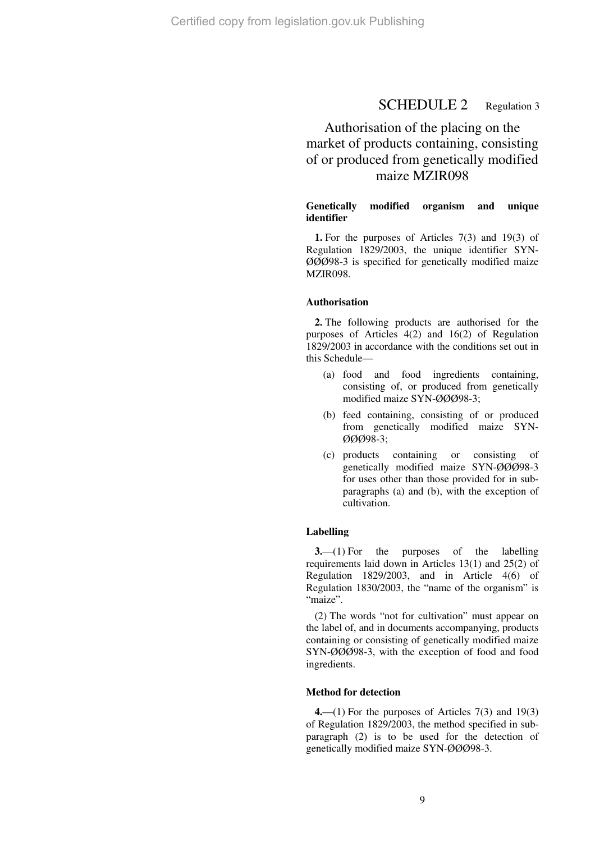# SCHEDULE 2 Regulation 3

# Authorisation of the placing on the market of products containing, consisting of or produced from genetically modified maize MZIR098

### **Genetically modified organism and unique identifier**

**1.** For the purposes of Articles 7(3) and 19(3) of Regulation 1829/2003, the unique identifier SYN-ØØØ98-3 is specified for genetically modified maize MZIR098.

#### **Authorisation**

**2.** The following products are authorised for the purposes of Articles 4(2) and 16(2) of Regulation 1829/2003 in accordance with the conditions set out in this Schedule—

- (a) food and food ingredients containing, consisting of, or produced from genetically modified maize SYN-ØØØ98-3;
- (b) feed containing, consisting of or produced from genetically modified maize SYN-ØØØ98-3;
- (c) products containing or consisting of genetically modified maize SYN-ØØØ98-3 for uses other than those provided for in subparagraphs (a) and (b), with the exception of cultivation.

#### **Labelling**

**3.**—(1) For the purposes of the labelling requirements laid down in Articles 13(1) and 25(2) of Regulation 1829/2003, and in Article 4(6) of Regulation 1830/2003, the "name of the organism" is "maize".

(2) The words "not for cultivation" must appear on the label of, and in documents accompanying, products containing or consisting of genetically modified maize SYN-ØØØ98-3, with the exception of food and food ingredients.

#### **Method for detection**

**4.**—(1) For the purposes of Articles 7(3) and 19(3) of Regulation 1829/2003, the method specified in subparagraph (2) is to be used for the detection of genetically modified maize SYN-ØØØ98-3.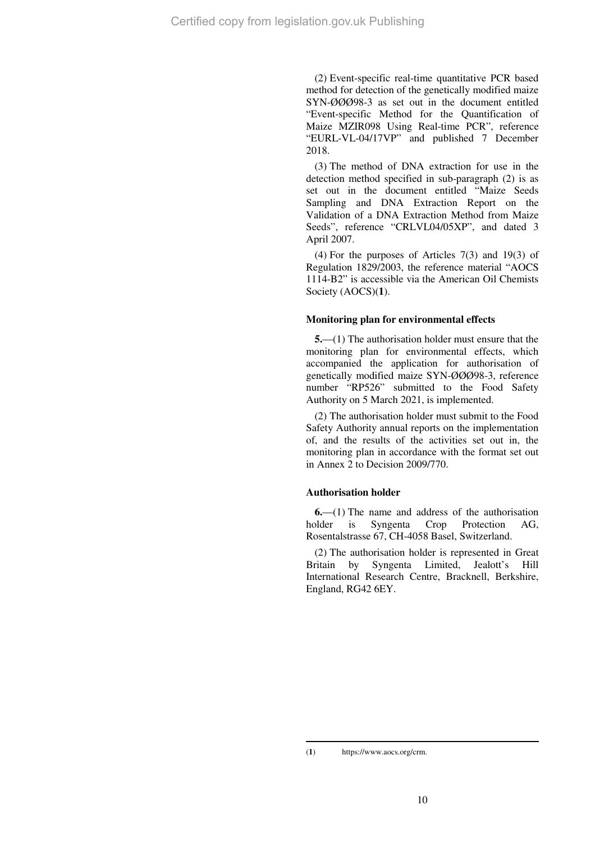(2) Event-specific real-time quantitative PCR based method for detection of the genetically modified maize SYN-ØØØ98-3 as set out in the document entitled "Event-specific Method for the Quantification of Maize MZIR098 Using Real-time PCR", reference "EURL-VL-04/17VP" and published 7 December 2018.

(3) The method of DNA extraction for use in the detection method specified in sub-paragraph (2) is as set out in the document entitled "Maize Seeds Sampling and DNA Extraction Report on the Validation of a DNA Extraction Method from Maize Seeds", reference "CRLVL04/05XP", and dated 3 April 2007.

(4) For the purposes of Articles 7(3) and 19(3) of Regulation 1829/2003, the reference material "AOCS 1114-B2" is accessible via the American Oil Chemists Society (AOCS)(**1**).

### **Monitoring plan for environmental effects**

**5.**—(1) The authorisation holder must ensure that the monitoring plan for environmental effects, which accompanied the application for authorisation of genetically modified maize SYN-ØØØ98-3, reference number "RP526" submitted to the Food Safety Authority on 5 March 2021, is implemented.

(2) The authorisation holder must submit to the Food Safety Authority annual reports on the implementation of, and the results of the activities set out in, the monitoring plan in accordance with the format set out in Annex 2 to Decision 2009/770.

## **Authorisation holder**

**6.**—(1) The name and address of the authorisation holder is Syngenta Crop Protection AG, Rosentalstrasse 67, CH-4058 Basel, Switzerland.

(2) The authorisation holder is represented in Great Britain by Syngenta Limited, Jealott's Hill International Research Centre, Bracknell, Berkshire, England, RG42 6EY.

(**1**) https://www.aocs.org/crm.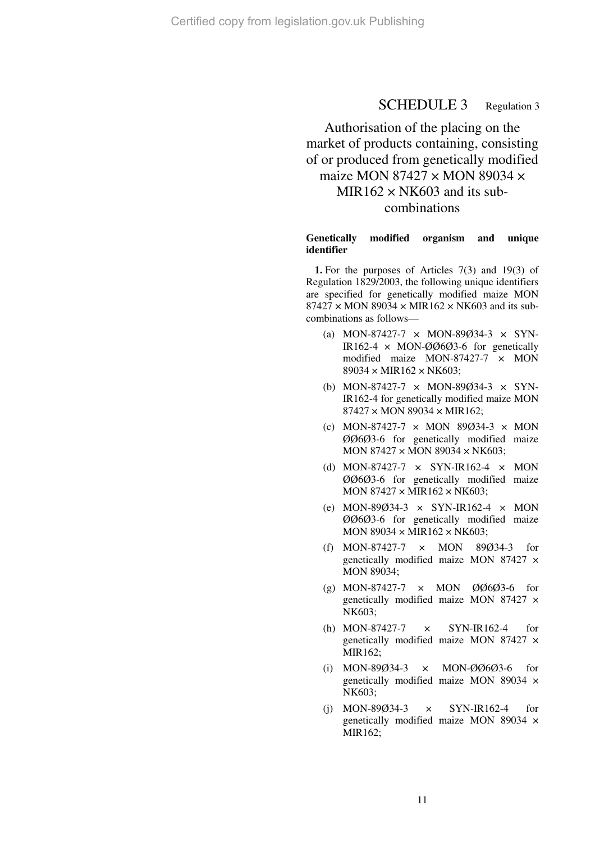# SCHEDULE 3 Regulation 3

# Authorisation of the placing on the market of products containing, consisting of or produced from genetically modified maize MON 87427  $\times$  MON 89034  $\times$ MIR162  $\times$  NK603 and its subcombinations

#### **Genetically modified organism and unique identifier**

**1.** For the purposes of Articles 7(3) and 19(3) of Regulation 1829/2003, the following unique identifiers are specified for genetically modified maize MON  $87427 \times MON$  89034  $\times$  MIR162  $\times$  NK603 and its subcombinations as follows—

- (a) MON-87427-7 × MON-89Ø34-3 × SYN-IR162-4  $\times$  MON-ØØ6Ø3-6 for genetically modified maize MON-87427-7 × MON  $89034 \times MIR162 \times NK603$ ;
- (b) MON-87427-7  $\times$  MON-89Ø34-3  $\times$  SYN-IR162-4 for genetically modified maize MON 87427 × MON 89034 × MIR162;
- (c) MON-87427-7  $\times$  MON 89Ø34-3  $\times$  MON ØØ6Ø3-6 for genetically modified maize MON 87427 × MON 89034 × NK603;
- (d) MON-87427-7 × SYN-IR162-4 × MON ØØ6Ø3-6 for genetically modified maize MON  $87427 \times MIR162 \times NK603$ ;
- (e) MON-89Ø34-3  $\times$  SYN-IR162-4  $\times$  MON ØØ6Ø3-6 for genetically modified maize MON 89034  $\times$  MIR162  $\times$  NK603;
- (f) MON-87427-7 × MON 89Ø34-3 for genetically modified maize MON 87427 × MON 89034;
- (g) MON-87427-7 × MON ØØ6Ø3-6 for genetically modified maize MON 87427 × NK603;
- (h) MON-87427-7 × SYN-IR162-4 for genetically modified maize MON 87427 × MIR162;
- (i) MON-89Ø34-3 × MON-ØØ6Ø3-6 for genetically modified maize MON 89034 × NK603;
- (j) MON-89Ø34-3 × SYN-IR162-4 for genetically modified maize MON 89034 × MIR162;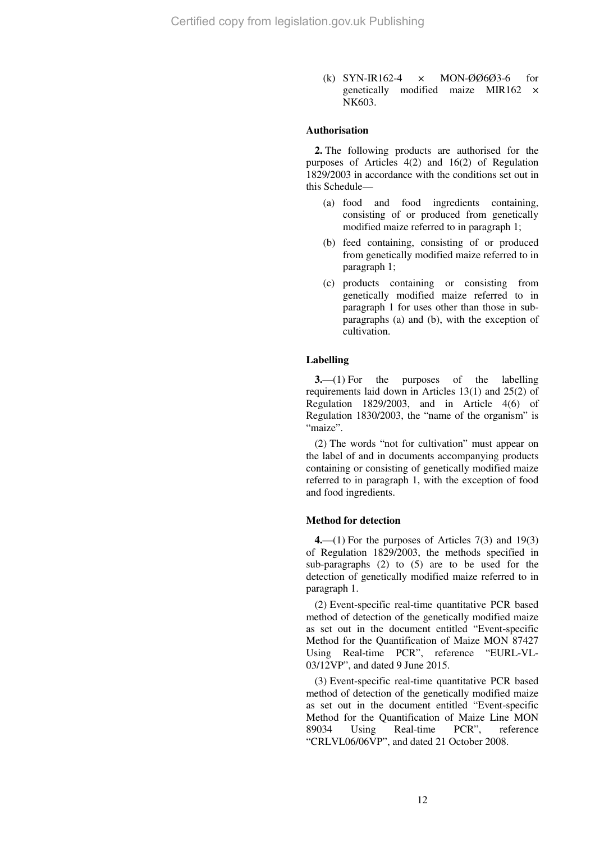(k) SYN-IR162-4 × MON-ØØ6Ø3-6 for genetically modified maize MIR162 × NK603.

### **Authorisation**

**2.** The following products are authorised for the purposes of Articles 4(2) and 16(2) of Regulation 1829/2003 in accordance with the conditions set out in this Schedule—

- (a) food and food ingredients containing, consisting of or produced from genetically modified maize referred to in paragraph 1;
- (b) feed containing, consisting of or produced from genetically modified maize referred to in paragraph 1;
- (c) products containing or consisting from genetically modified maize referred to in paragraph 1 for uses other than those in subparagraphs (a) and (b), with the exception of cultivation.

#### **Labelling**

**3.**—(1) For the purposes of the labelling requirements laid down in Articles 13(1) and 25(2) of Regulation 1829/2003, and in Article 4(6) of Regulation 1830/2003, the "name of the organism" is "maize".

(2) The words "not for cultivation" must appear on the label of and in documents accompanying products containing or consisting of genetically modified maize referred to in paragraph 1, with the exception of food and food ingredients.

#### **Method for detection**

**4.**—(1) For the purposes of Articles 7(3) and 19(3) of Regulation 1829/2003, the methods specified in sub-paragraphs (2) to (5) are to be used for the detection of genetically modified maize referred to in paragraph 1.

(2) Event-specific real-time quantitative PCR based method of detection of the genetically modified maize as set out in the document entitled "Event-specific Method for the Quantification of Maize MON 87427 Using Real-time PCR", reference "EURL-VL-03/12VP", and dated 9 June 2015.

(3) Event-specific real-time quantitative PCR based method of detection of the genetically modified maize as set out in the document entitled "Event-specific Method for the Quantification of Maize Line MON 89034 Using Real-time PCR", reference "CRLVL06/06VP", and dated 21 October 2008.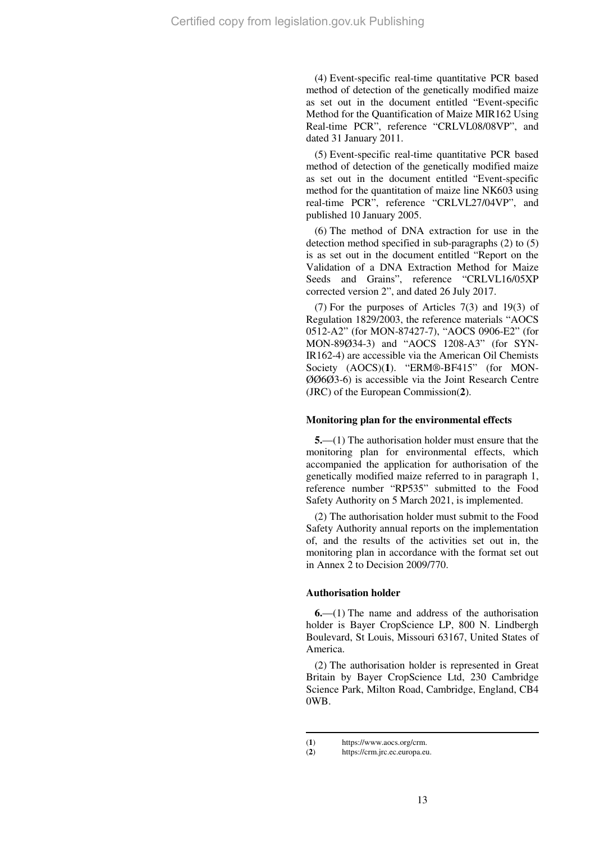(4) Event-specific real-time quantitative PCR based method of detection of the genetically modified maize as set out in the document entitled "Event-specific Method for the Quantification of Maize MIR162 Using Real-time PCR", reference "CRLVL08/08VP", and dated 31 January 2011.

(5) Event-specific real-time quantitative PCR based method of detection of the genetically modified maize as set out in the document entitled "Event-specific method for the quantitation of maize line NK603 using real-time PCR", reference "CRLVL27/04VP", and published 10 January 2005.

(6) The method of DNA extraction for use in the detection method specified in sub-paragraphs (2) to (5) is as set out in the document entitled "Report on the Validation of a DNA Extraction Method for Maize Seeds and Grains", reference "CRLVL16/05XP corrected version 2", and dated 26 July 2017.

(7) For the purposes of Articles 7(3) and 19(3) of Regulation 1829/2003, the reference materials "AOCS 0512-A2" (for MON-87427-7), "AOCS 0906-E2" (for MON-89Ø34-3) and "AOCS 1208-A3" (for SYN-IR162-4) are accessible via the American Oil Chemists Society (AOCS)(**1**). "ERM®-BF415" (for MON-ØØ6Ø3-6) is accessible via the Joint Research Centre (JRC) of the European Commission(**2**).

#### **Monitoring plan for the environmental effects**

**5.**—(1) The authorisation holder must ensure that the monitoring plan for environmental effects, which accompanied the application for authorisation of the genetically modified maize referred to in paragraph 1, reference number "RP535" submitted to the Food Safety Authority on 5 March 2021, is implemented.

(2) The authorisation holder must submit to the Food Safety Authority annual reports on the implementation of, and the results of the activities set out in, the monitoring plan in accordance with the format set out in Annex 2 to Decision 2009/770.

#### **Authorisation holder**

**6.**—(1) The name and address of the authorisation holder is Bayer CropScience LP, 800 N. Lindbergh Boulevard, St Louis, Missouri 63167, United States of America.

(2) The authorisation holder is represented in Great Britain by Bayer CropScience Ltd, 230 Cambridge Science Park, Milton Road, Cambridge, England, CB4 0WB.

<sup>(1)</sup> https://www.aocs.org/crm.<br>(2) https://crm.jrc.ec.europa.eu

https://crm.jrc.ec.europa.eu.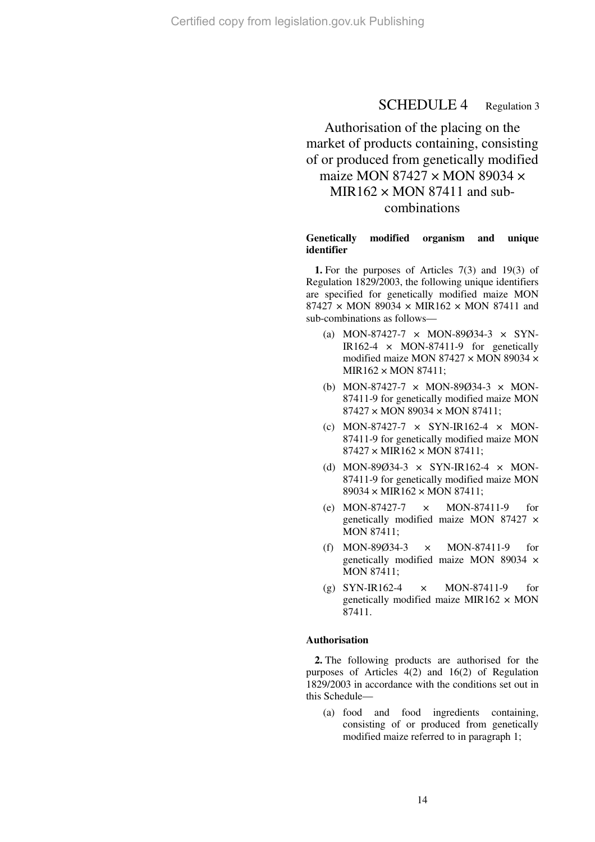## SCHEDULE 4 Regulation 3

# Authorisation of the placing on the market of products containing, consisting of or produced from genetically modified maize MON 87427  $\times$  MON 89034  $\times$  $MIR162 \times MON 87411$  and subcombinations

#### **Genetically modified organism and unique identifier**

**1.** For the purposes of Articles 7(3) and 19(3) of Regulation 1829/2003, the following unique identifiers are specified for genetically modified maize MON  $87427 \times MON$  89034  $\times$  MIR162  $\times$  MON 87411 and sub-combinations as follows—

- (a) MON-87427-7 × MON-89Ø34-3 × SYN-IR162-4  $\times$  MON-87411-9 for genetically modified maize MON 87427 × MON 89034 × MIR162 × MON 87411;
- (b) MON-87427-7 × MON-89Ø34-3 × MON-87411-9 for genetically modified maize MON 87427 × MON 89034 × MON 87411;
- (c) MON-87427-7  $\times$  SYN-IR162-4  $\times$  MON-87411-9 for genetically modified maize MON  $87427 \times MIR162 \times MON 87411$ ;
- (d) MON-89Ø34-3  $\times$  SYN-IR162-4  $\times$  MON-87411-9 for genetically modified maize MON 89034 × MIR162 × MON 87411;
- (e) MON-87427-7 × MON-87411-9 for genetically modified maize MON 87427 × MON 87411;
- (f) MON-89Ø34-3 × MON-87411-9 for genetically modified maize MON 89034 × MON 87411;
- (g) SYN-IR162-4 × MON-87411-9 for genetically modified maize MIR162  $\times$  MON 87411.

## **Authorisation**

**2.** The following products are authorised for the purposes of Articles 4(2) and 16(2) of Regulation 1829/2003 in accordance with the conditions set out in this Schedule—

(a) food and food ingredients containing, consisting of or produced from genetically modified maize referred to in paragraph 1;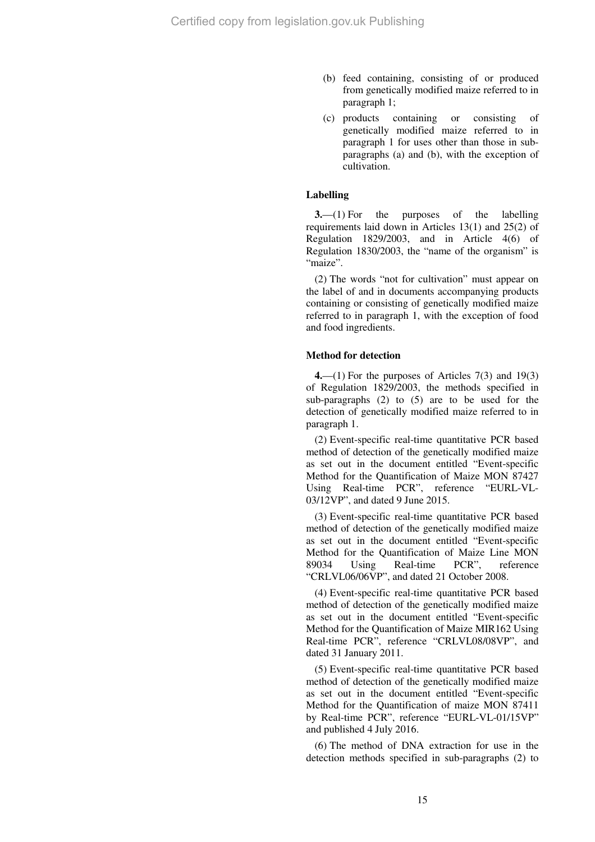- (b) feed containing, consisting of or produced from genetically modified maize referred to in paragraph 1;
- (c) products containing or consisting of genetically modified maize referred to in paragraph 1 for uses other than those in subparagraphs (a) and (b), with the exception of cultivation.

#### **Labelling**

**3.**—(1) For the purposes of the labelling requirements laid down in Articles 13(1) and 25(2) of Regulation 1829/2003, and in Article 4(6) of Regulation 1830/2003, the "name of the organism" is "maize".

(2) The words "not for cultivation" must appear on the label of and in documents accompanying products containing or consisting of genetically modified maize referred to in paragraph 1, with the exception of food and food ingredients.

### **Method for detection**

**4.**—(1) For the purposes of Articles 7(3) and 19(3) of Regulation 1829/2003, the methods specified in sub-paragraphs (2) to (5) are to be used for the detection of genetically modified maize referred to in paragraph 1.

(2) Event-specific real-time quantitative PCR based method of detection of the genetically modified maize as set out in the document entitled "Event-specific Method for the Quantification of Maize MON 87427 Using Real-time PCR", reference "EURL-VL-03/12VP", and dated 9 June 2015.

(3) Event-specific real-time quantitative PCR based method of detection of the genetically modified maize as set out in the document entitled "Event-specific Method for the Quantification of Maize Line MON 89034 Using Real-time PCR", reference "CRLVL06/06VP", and dated 21 October 2008.

(4) Event-specific real-time quantitative PCR based method of detection of the genetically modified maize as set out in the document entitled "Event-specific Method for the Quantification of Maize MIR162 Using Real-time PCR", reference "CRLVL08/08VP", and dated 31 January 2011.

(5) Event-specific real-time quantitative PCR based method of detection of the genetically modified maize as set out in the document entitled "Event-specific Method for the Quantification of maize MON 87411 by Real-time PCR", reference "EURL-VL-01/15VP" and published 4 July 2016.

(6) The method of DNA extraction for use in the detection methods specified in sub-paragraphs (2) to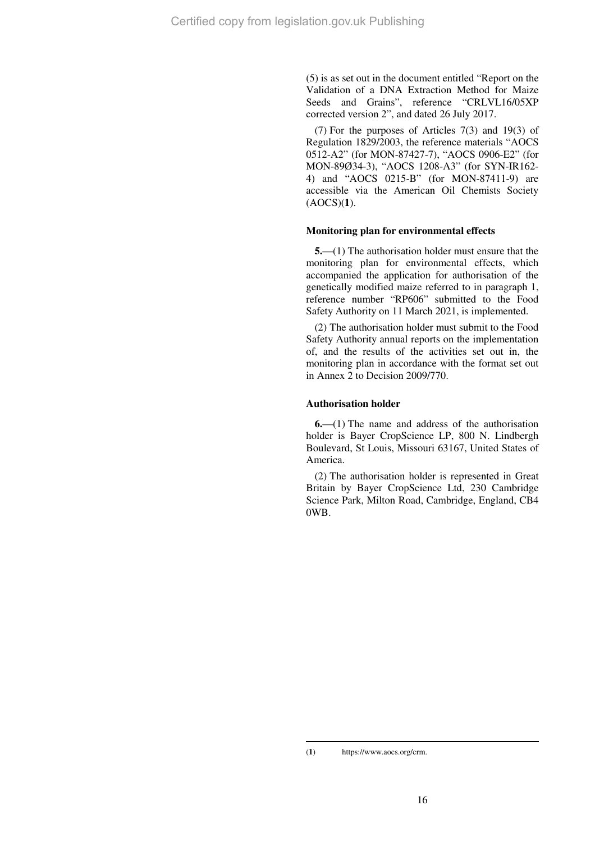(5) is as set out in the document entitled "Report on the Validation of a DNA Extraction Method for Maize Seeds and Grains", reference "CRLVL16/05XP corrected version 2", and dated 26 July 2017.

(7) For the purposes of Articles 7(3) and 19(3) of Regulation 1829/2003, the reference materials "AOCS 0512-A2" (for MON-87427-7), "AOCS 0906-E2" (for MON-89Ø34-3), "AOCS 1208-A3" (for SYN-IR162- 4) and "AOCS 0215-B" (for MON-87411-9) are accessible via the American Oil Chemists Society (AOCS)(**1**).

#### **Monitoring plan for environmental effects**

**5.**—(1) The authorisation holder must ensure that the monitoring plan for environmental effects, which accompanied the application for authorisation of the genetically modified maize referred to in paragraph 1, reference number "RP606" submitted to the Food Safety Authority on 11 March 2021, is implemented.

(2) The authorisation holder must submit to the Food Safety Authority annual reports on the implementation of, and the results of the activities set out in, the monitoring plan in accordance with the format set out in Annex 2 to Decision 2009/770.

#### **Authorisation holder**

**6.**—(1) The name and address of the authorisation holder is Bayer CropScience LP, 800 N. Lindbergh Boulevard, St Louis, Missouri 63167, United States of America.

(2) The authorisation holder is represented in Great Britain by Bayer CropScience Ltd, 230 Cambridge Science Park, Milton Road, Cambridge, England, CB4 0WB.

(**1**) https://www.aocs.org/crm.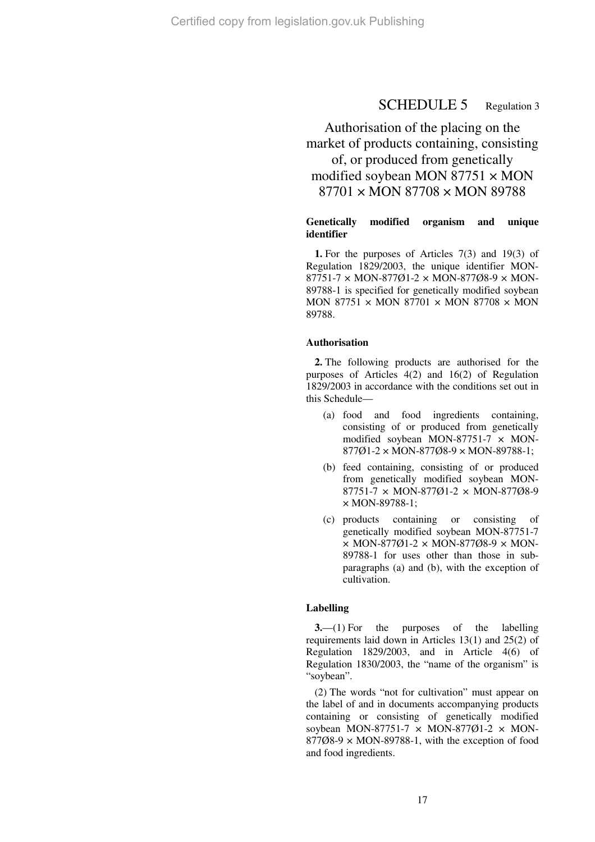## SCHEDULE 5 Regulation 3

# Authorisation of the placing on the market of products containing, consisting of, or produced from genetically modified soybean MON  $87751 \times MON$ 87701 × MON 87708 × MON 89788

### **Genetically modified organism and unique identifier**

**1.** For the purposes of Articles 7(3) and 19(3) of Regulation 1829/2003, the unique identifier MON-87751-7 × MON-877Ø1-2 × MON-877Ø8-9 × MON-89788-1 is specified for genetically modified soybean MON 87751  $\times$  MON 87701  $\times$  MON 87708  $\times$  MON 89788.

#### **Authorisation**

**2.** The following products are authorised for the purposes of Articles 4(2) and 16(2) of Regulation 1829/2003 in accordance with the conditions set out in this Schedule—

- (a) food and food ingredients containing, consisting of or produced from genetically modified soybean MON-87751-7  $\times$  MON-877Ø1-2 × MON-877Ø8-9 × MON-89788-1;
- (b) feed containing, consisting of or produced from genetically modified soybean MON-87751-7 × MON-877Ø1-2 × MON-877Ø8-9 × MON-89788-1;
- (c) products containing or consisting of genetically modified soybean MON-87751-7  $\times$  MON-877Ø1-2  $\times$  MON-877Ø8-9  $\times$  MON-89788-1 for uses other than those in subparagraphs (a) and (b), with the exception of cultivation.

#### **Labelling**

**3.**—(1) For the purposes of the labelling requirements laid down in Articles 13(1) and 25(2) of Regulation 1829/2003, and in Article 4(6) of Regulation 1830/2003, the "name of the organism" is "soybean".

(2) The words "not for cultivation" must appear on the label of and in documents accompanying products containing or consisting of genetically modified soybean MON-87751-7  $\times$  MON-87701-2  $\times$  MON- $877\omega$ 8-9  $\times$  MON-89788-1, with the exception of food and food ingredients.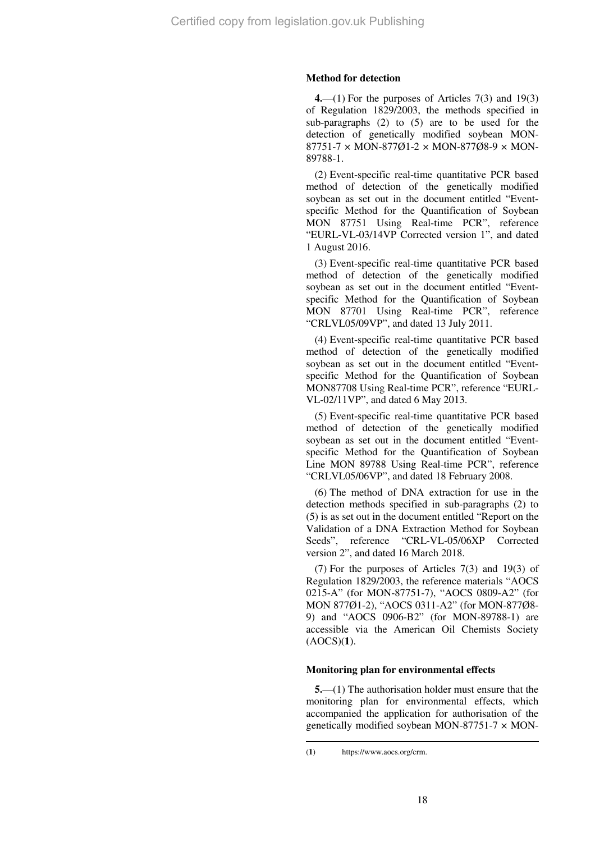#### **Method for detection**

**4.**—(1) For the purposes of Articles 7(3) and 19(3) of Regulation 1829/2003, the methods specified in sub-paragraphs (2) to (5) are to be used for the detection of genetically modified soybean MON-87751-7 × MON-877Ø1-2 × MON-877Ø8-9 × MON-89788-1.

(2) Event-specific real-time quantitative PCR based method of detection of the genetically modified soybean as set out in the document entitled "Eventspecific Method for the Quantification of Soybean MON 87751 Using Real-time PCR", reference "EURL-VL-03/14VP Corrected version 1", and dated 1 August 2016.

(3) Event-specific real-time quantitative PCR based method of detection of the genetically modified soybean as set out in the document entitled "Eventspecific Method for the Quantification of Soybean MON 87701 Using Real-time PCR", reference "CRLVL05/09VP", and dated 13 July 2011.

(4) Event-specific real-time quantitative PCR based method of detection of the genetically modified soybean as set out in the document entitled "Eventspecific Method for the Quantification of Soybean MON87708 Using Real-time PCR", reference "EURL-VL-02/11VP", and dated 6 May 2013.

(5) Event-specific real-time quantitative PCR based method of detection of the genetically modified soybean as set out in the document entitled "Eventspecific Method for the Quantification of Soybean Line MON 89788 Using Real-time PCR", reference "CRLVL05/06VP", and dated 18 February 2008.

(6) The method of DNA extraction for use in the detection methods specified in sub-paragraphs (2) to (5) is as set out in the document entitled "Report on the Validation of a DNA Extraction Method for Soybean Seeds", reference "CRL-VL-05/06XP Corrected version 2", and dated 16 March 2018.

(7) For the purposes of Articles 7(3) and 19(3) of Regulation 1829/2003, the reference materials "AOCS 0215-A" (for MON-87751-7), "AOCS 0809-A2" (for MON 877Ø1-2), "AOCS 0311-A2" (for MON-877Ø8- 9) and "AOCS 0906-B2" (for MON-89788-1) are accessible via the American Oil Chemists Society (AOCS)(**1**).

#### **Monitoring plan for environmental effects**

**5.**—(1) The authorisation holder must ensure that the monitoring plan for environmental effects, which accompanied the application for authorisation of the genetically modified soybean MON-87751-7  $\times$  MON-

<sup>(</sup>**1**) https://www.aocs.org/crm.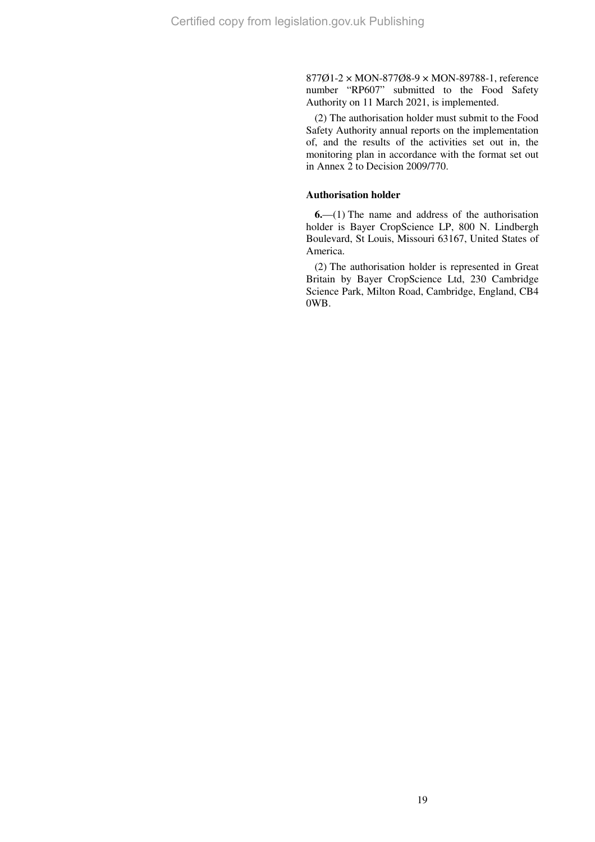877Ø1-2 × MON-877Ø8-9 × MON-89788-1, reference number "RP607" submitted to the Food Safety Authority on 11 March 2021, is implemented.

(2) The authorisation holder must submit to the Food Safety Authority annual reports on the implementation of, and the results of the activities set out in, the monitoring plan in accordance with the format set out in Annex 2 to Decision 2009/770.

### **Authorisation holder**

**6.**—(1) The name and address of the authorisation holder is Bayer CropScience LP, 800 N. Lindbergh Boulevard, St Louis, Missouri 63167, United States of America.

(2) The authorisation holder is represented in Great Britain by Bayer CropScience Ltd, 230 Cambridge Science Park, Milton Road, Cambridge, England, CB4 0WB.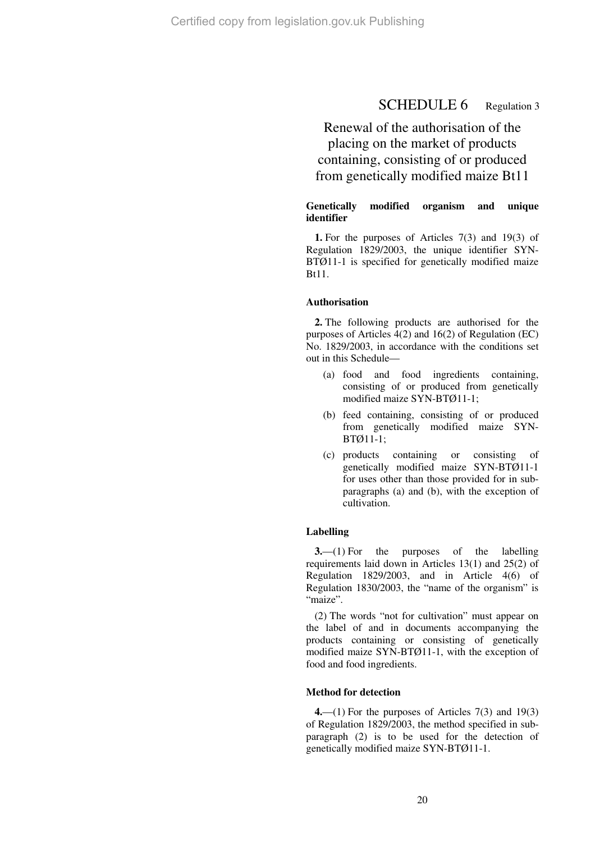# SCHEDULE 6 Regulation 3

Renewal of the authorisation of the placing on the market of products containing, consisting of or produced from genetically modified maize Bt11

### **Genetically modified organism and unique identifier**

**1.** For the purposes of Articles 7(3) and 19(3) of Regulation 1829/2003, the unique identifier SYN-BTØ11-1 is specified for genetically modified maize Bt11.

#### **Authorisation**

**2.** The following products are authorised for the purposes of Articles 4(2) and 16(2) of Regulation (EC) No. 1829/2003, in accordance with the conditions set out in this Schedule—

- (a) food and food ingredients containing, consisting of or produced from genetically modified maize SYN-BTØ11-1;
- (b) feed containing, consisting of or produced from genetically modified maize SYN-BTØ11-1;
- (c) products containing or consisting of genetically modified maize SYN-BTØ11-1 for uses other than those provided for in subparagraphs (a) and (b), with the exception of cultivation.

#### **Labelling**

**3.**—(1) For the purposes of the labelling requirements laid down in Articles 13(1) and 25(2) of Regulation 1829/2003, and in Article 4(6) of Regulation 1830/2003, the "name of the organism" is "maize".

(2) The words "not for cultivation" must appear on the label of and in documents accompanying the products containing or consisting of genetically modified maize SYN-BTØ11-1, with the exception of food and food ingredients.

#### **Method for detection**

**4.**—(1) For the purposes of Articles 7(3) and 19(3) of Regulation 1829/2003, the method specified in subparagraph (2) is to be used for the detection of genetically modified maize SYN-BTØ11-1.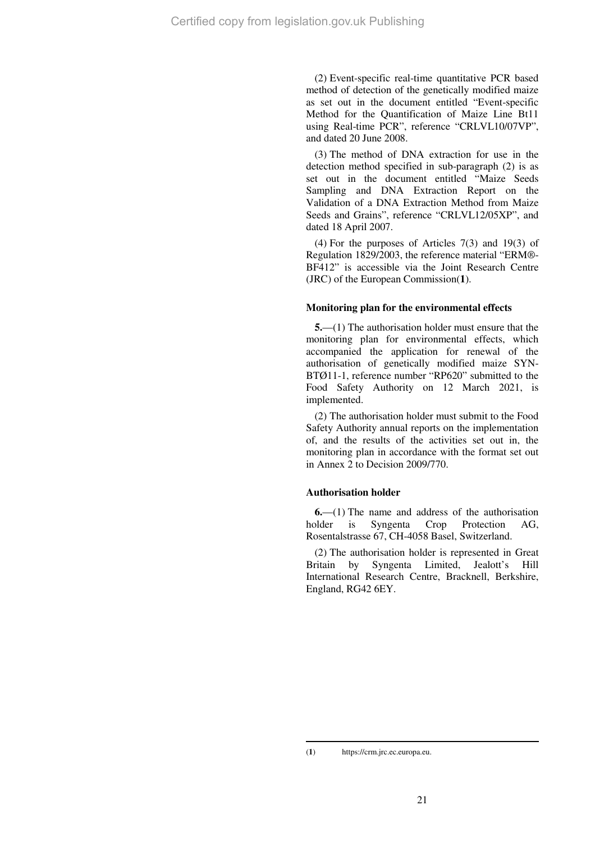(2) Event-specific real-time quantitative PCR based method of detection of the genetically modified maize as set out in the document entitled "Event-specific Method for the Quantification of Maize Line Bt11 using Real-time PCR", reference "CRLVL10/07VP", and dated 20 June 2008.

(3) The method of DNA extraction for use in the detection method specified in sub-paragraph (2) is as set out in the document entitled "Maize Seeds Sampling and DNA Extraction Report on the Validation of a DNA Extraction Method from Maize Seeds and Grains", reference "CRLVL12/05XP", and dated 18 April 2007.

(4) For the purposes of Articles 7(3) and 19(3) of Regulation 1829/2003, the reference material "ERM®- BF412" is accessible via the Joint Research Centre (JRC) of the European Commission(**1**).

## **Monitoring plan for the environmental effects**

**5.**—(1) The authorisation holder must ensure that the monitoring plan for environmental effects, which accompanied the application for renewal of the authorisation of genetically modified maize SYN-BTØ11-1, reference number "RP620" submitted to the Food Safety Authority on 12 March 2021, is implemented.

(2) The authorisation holder must submit to the Food Safety Authority annual reports on the implementation of, and the results of the activities set out in, the monitoring plan in accordance with the format set out in Annex 2 to Decision 2009/770.

## **Authorisation holder**

**6.**—(1) The name and address of the authorisation holder is Syngenta Crop Protection AG, Rosentalstrasse 67, CH-4058 Basel, Switzerland.

(2) The authorisation holder is represented in Great Britain by Syngenta Limited, Jealott's Hill International Research Centre, Bracknell, Berkshire, England, RG42 6EY.

<sup>(</sup>**1**) https://crm.jrc.ec.europa.eu.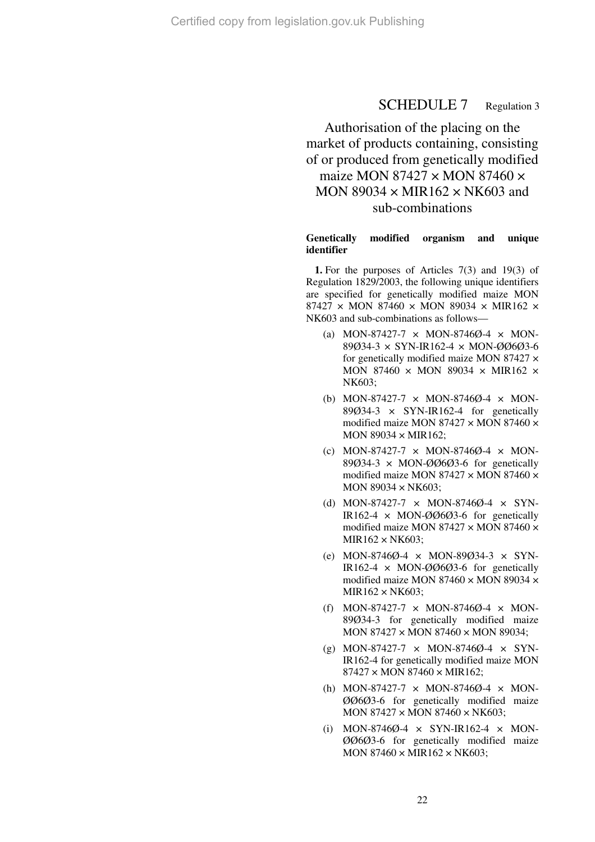# SCHEDULE 7 Regulation 3

# Authorisation of the placing on the market of products containing, consisting of or produced from genetically modified maize MON 87427  $\times$  MON 87460  $\times$ MON 89034  $\times$  MIR162  $\times$  NK603 and sub-combinations

#### **Genetically modified organism and unique identifier**

**1.** For the purposes of Articles 7(3) and 19(3) of Regulation 1829/2003, the following unique identifiers are specified for genetically modified maize MON 87427 × MON 87460 × MON 89034 × MIR162 × NK603 and sub-combinations as follows—

- (a) MON-87427-7  $\times$  MON-8746Ø-4  $\times$  MON-89Ø34-3 × SYN-IR162-4 × MON-ØØ6Ø3-6 for genetically modified maize MON 87427  $\times$ MON 87460  $\times$  MON 89034  $\times$  MIR162  $\times$ NK603;
- (b) MON-87427-7 × MON-8746Ø-4 × MON-89Ø34-3  $\times$  SYN-IR162-4 for genetically modified maize MON 87427  $\times$  MON 87460  $\times$ MON 89034  $\times$  MIR162:
- (c) MON-87427-7  $\times$  MON-8746Ø-4  $\times$  MON- $89\ddot{\omega}$ 34-3 × MON- $\ddot{\omega}$  $\ddot{\omega}$ 3-6 for genetically modified maize MON 87427  $\times$  MON 87460  $\times$ MON 89034  $\times$  NK603;
- (d) MON-87427-7 × MON-8746Ø-4 × SYN-IR162-4  $\times$  MON-ØØ6Ø3-6 for genetically modified maize MON 87427 × MON 87460 ×  $MIR162 \times NK603$ :
- (e) MON-8746Ø-4 × MON-89Ø34-3 × SYN-IR162-4  $\times$  MON-ØØ6Ø3-6 for genetically modified maize MON 87460 × MON 89034 × MIR162 × NK603;
- (f) MON-87427-7  $\times$  MON-8746 $\varnothing$ -4  $\times$  MON-89Ø34-3 for genetically modified maize MON 87427 × MON 87460 × MON 89034;
- (g) MON-87427-7  $\times$  MON-8746Ø-4  $\times$  SYN-IR162-4 for genetically modified maize MON  $87427 \times MON 87460 \times MIR162$ ;
- (h) MON-87427-7  $\times$  MON-8746Ø-4  $\times$  MON-ØØ6Ø3-6 for genetically modified maize MON 87427 × MON 87460 × NK603;
- (i) MON-8746Ø-4  $\times$  SYN-IR162-4  $\times$  MON-ØØ6Ø3-6 for genetically modified maize MON  $87460 \times MIR162 \times NK603$ ;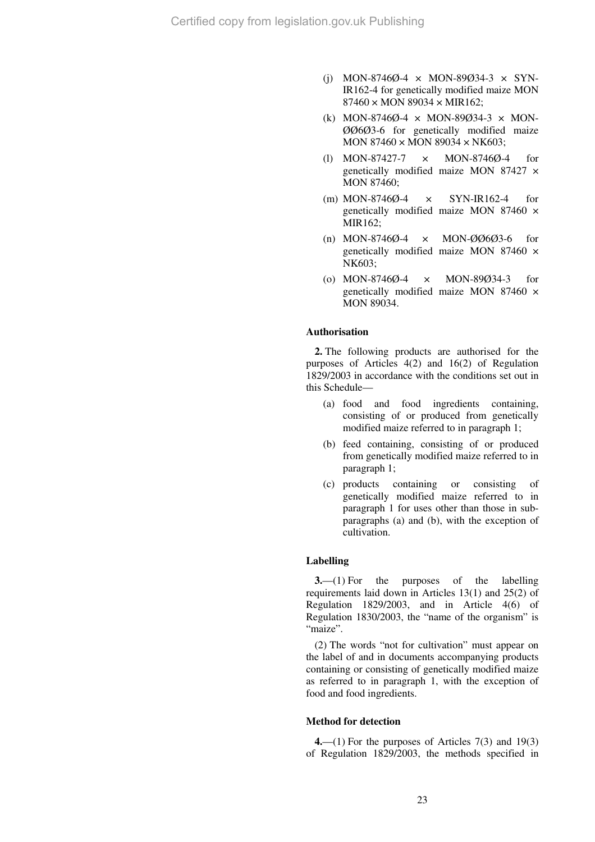- (i) MON-8746 $\emptyset$ -4 × MON-89 $\emptyset$ 34-3 × SYN-IR162-4 for genetically modified maize MON  $87460 \times MON$  89034  $\times$  MIR162;
- (k) MON-8746Ø-4  $\times$  MON-89Ø34-3  $\times$  MON-ØØ6Ø3-6 for genetically modified maize MON 87460 × MON 89034 × NK603;
- (l) MON-87427-7 × MON-8746Ø-4 for genetically modified maize MON 87427 × MON 87460;
- (m) MON-8746 $\emptyset$ -4  $\times$  SYN-IR162-4 for genetically modified maize MON 87460 × MIR162;
- (n) MON-8746Ø-4 × MON-ØØ6Ø3-6 for genetically modified maize MON 87460 × NK603;
- (o) MON-8746Ø-4 × MON-89Ø34-3 for genetically modified maize MON 87460 × MON 89034.

#### **Authorisation**

**2.** The following products are authorised for the purposes of Articles 4(2) and 16(2) of Regulation 1829/2003 in accordance with the conditions set out in this Schedule—

- (a) food and food ingredients containing, consisting of or produced from genetically modified maize referred to in paragraph 1;
- (b) feed containing, consisting of or produced from genetically modified maize referred to in paragraph 1;
- (c) products containing or consisting of genetically modified maize referred to in paragraph 1 for uses other than those in subparagraphs (a) and (b), with the exception of cultivation.

#### **Labelling**

**3.**—(1) For the purposes of the labelling requirements laid down in Articles 13(1) and 25(2) of Regulation 1829/2003, and in Article 4(6) of Regulation 1830/2003, the "name of the organism" is "maize".

(2) The words "not for cultivation" must appear on the label of and in documents accompanying products containing or consisting of genetically modified maize as referred to in paragraph 1, with the exception of food and food ingredients.

#### **Method for detection**

**4.**—(1) For the purposes of Articles 7(3) and 19(3) of Regulation 1829/2003, the methods specified in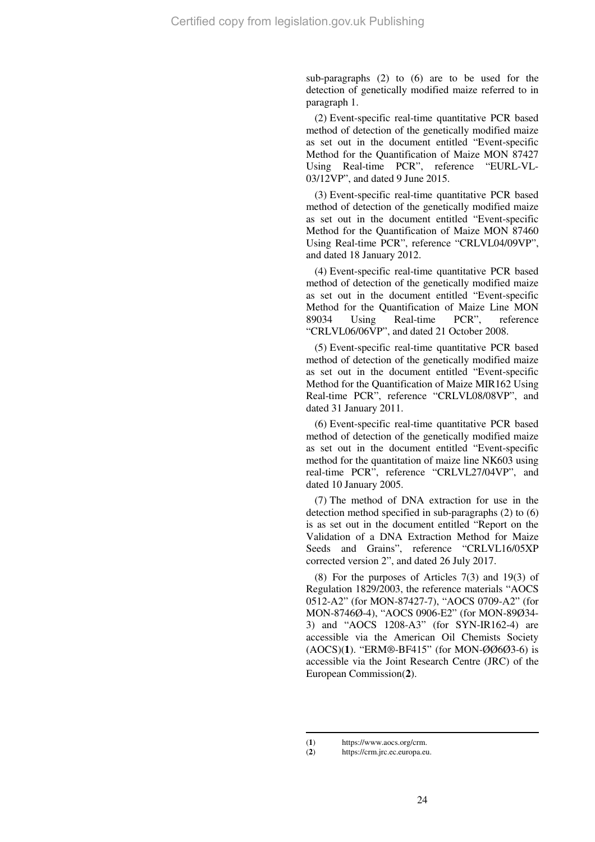sub-paragraphs (2) to (6) are to be used for the detection of genetically modified maize referred to in paragraph 1.

(2) Event-specific real-time quantitative PCR based method of detection of the genetically modified maize as set out in the document entitled "Event-specific Method for the Quantification of Maize MON 87427 Using Real-time PCR", reference "EURL-VL-03/12VP", and dated 9 June 2015.

(3) Event-specific real-time quantitative PCR based method of detection of the genetically modified maize as set out in the document entitled "Event-specific Method for the Quantification of Maize MON 87460 Using Real-time PCR", reference "CRLVL04/09VP", and dated 18 January 2012.

(4) Event-specific real-time quantitative PCR based method of detection of the genetically modified maize as set out in the document entitled "Event-specific Method for the Quantification of Maize Line MON 89034 Using Real-time PCR", reference "CRLVL06/06VP", and dated 21 October 2008.

(5) Event-specific real-time quantitative PCR based method of detection of the genetically modified maize as set out in the document entitled "Event-specific Method for the Quantification of Maize MIR162 Using Real-time PCR", reference "CRLVL08/08VP", and dated 31 January 2011.

(6) Event-specific real-time quantitative PCR based method of detection of the genetically modified maize as set out in the document entitled "Event-specific method for the quantitation of maize line NK603 using real-time PCR", reference "CRLVL27/04VP", and dated 10 January 2005.

(7) The method of DNA extraction for use in the detection method specified in sub-paragraphs (2) to (6) is as set out in the document entitled "Report on the Validation of a DNA Extraction Method for Maize Seeds and Grains", reference "CRLVL16/05XP corrected version 2", and dated 26 July 2017.

(8) For the purposes of Articles 7(3) and 19(3) of Regulation 1829/2003, the reference materials "AOCS 0512-A2" (for MON-87427-7), "AOCS 0709-A2" (for MON-8746Ø-4), "AOCS 0906-E2" (for MON-89Ø34- 3) and "AOCS 1208-A3" (for SYN-IR162-4) are accessible via the American Oil Chemists Society (AOCS)(**1**). "ERM®-BF415" (for MON-ØØ6Ø3-6) is accessible via the Joint Research Centre (JRC) of the European Commission(**2**).

 $\overline{a}$ (1) https://www.aocs.org/crm.<br>(2) https://crm.jrc.ec.europa.eu

https://crm.jrc.ec.europa.eu.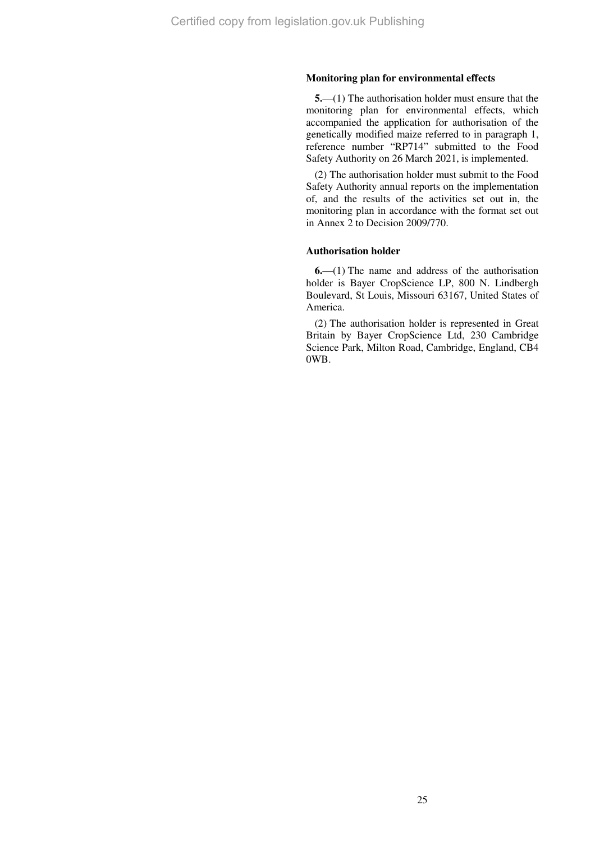#### **Monitoring plan for environmental effects**

**5.**—(1) The authorisation holder must ensure that the monitoring plan for environmental effects, which accompanied the application for authorisation of the genetically modified maize referred to in paragraph 1, reference number "RP714" submitted to the Food Safety Authority on 26 March 2021, is implemented.

(2) The authorisation holder must submit to the Food Safety Authority annual reports on the implementation of, and the results of the activities set out in, the monitoring plan in accordance with the format set out in Annex 2 to Decision 2009/770.

#### **Authorisation holder**

**6.**—(1) The name and address of the authorisation holder is Bayer CropScience LP, 800 N. Lindbergh Boulevard, St Louis, Missouri 63167, United States of America.

(2) The authorisation holder is represented in Great Britain by Bayer CropScience Ltd, 230 Cambridge Science Park, Milton Road, Cambridge, England, CB4 0WB.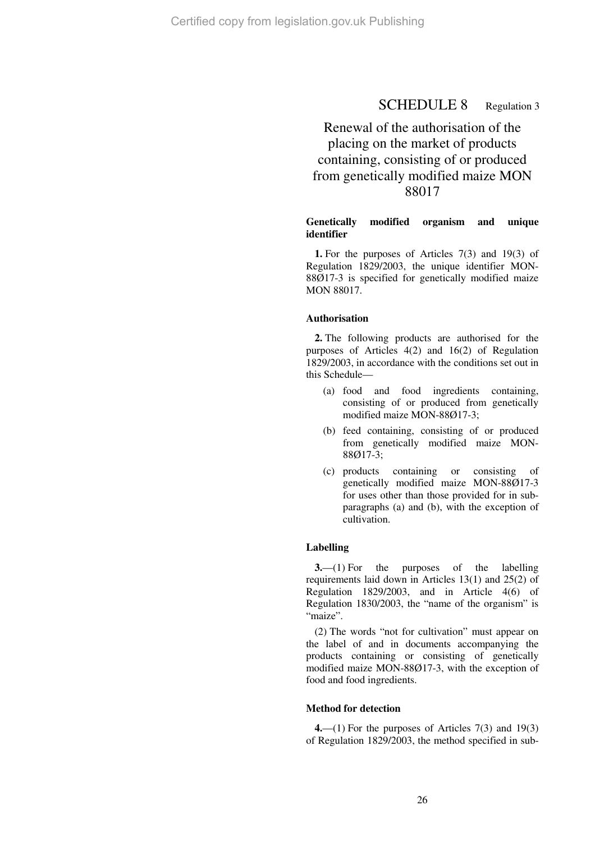# SCHEDULE 8 Regulation 3

# Renewal of the authorisation of the placing on the market of products containing, consisting of or produced from genetically modified maize MON 88017

### **Genetically modified organism and unique identifier**

**1.** For the purposes of Articles 7(3) and 19(3) of Regulation 1829/2003, the unique identifier MON-88Ø17-3 is specified for genetically modified maize MON 88017.

#### **Authorisation**

**2.** The following products are authorised for the purposes of Articles 4(2) and 16(2) of Regulation 1829/2003, in accordance with the conditions set out in this Schedule—

- (a) food and food ingredients containing, consisting of or produced from genetically modified maize MON-88Ø17-3;
- (b) feed containing, consisting of or produced from genetically modified maize MON-88Ø17-3;
- (c) products containing or consisting of genetically modified maize MON-88Ø17-3 for uses other than those provided for in subparagraphs (a) and (b), with the exception of cultivation.

## **Labelling**

**3.**—(1) For the purposes of the labelling requirements laid down in Articles 13(1) and 25(2) of Regulation 1829/2003, and in Article 4(6) of Regulation 1830/2003, the "name of the organism" is "maize".

(2) The words "not for cultivation" must appear on the label of and in documents accompanying the products containing or consisting of genetically modified maize MON-88Ø17-3, with the exception of food and food ingredients.

### **Method for detection**

**4.**—(1) For the purposes of Articles 7(3) and 19(3) of Regulation 1829/2003, the method specified in sub-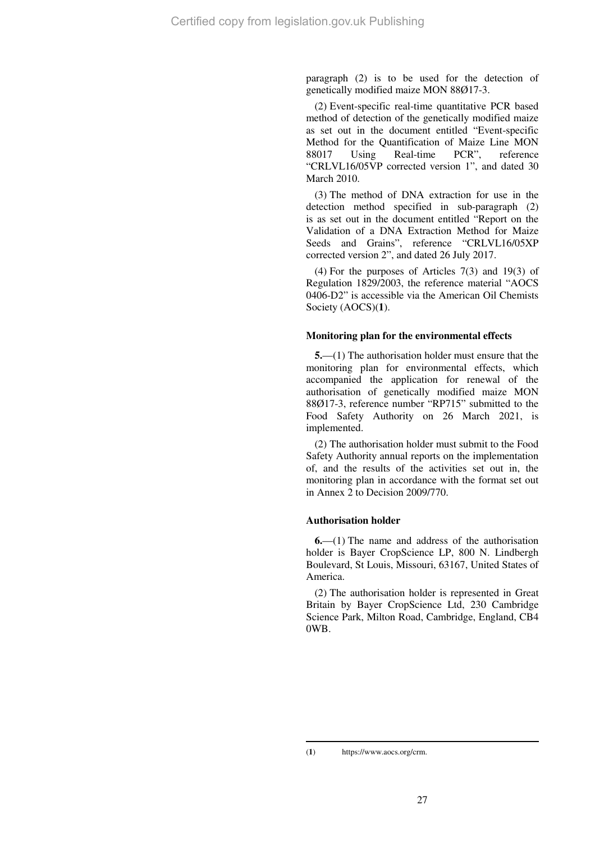paragraph (2) is to be used for the detection of genetically modified maize MON 88Ø17-3.

(2) Event-specific real-time quantitative PCR based method of detection of the genetically modified maize as set out in the document entitled "Event-specific Method for the Quantification of Maize Line MON 88017 Using Real-time PCR", reference "CRLVL16/05VP corrected version 1", and dated 30 March 2010.

(3) The method of DNA extraction for use in the detection method specified in sub-paragraph (2) is as set out in the document entitled "Report on the Validation of a DNA Extraction Method for Maize Seeds and Grains", reference "CRLVL16/05XP corrected version 2", and dated 26 July 2017.

(4) For the purposes of Articles 7(3) and 19(3) of Regulation 1829/2003, the reference material "AOCS 0406-D2" is accessible via the American Oil Chemists Society (AOCS)(**1**).

#### **Monitoring plan for the environmental effects**

**5.**—(1) The authorisation holder must ensure that the monitoring plan for environmental effects, which accompanied the application for renewal of the authorisation of genetically modified maize MON 88Ø17-3, reference number "RP715" submitted to the Food Safety Authority on 26 March 2021, is implemented.

(2) The authorisation holder must submit to the Food Safety Authority annual reports on the implementation of, and the results of the activities set out in, the monitoring plan in accordance with the format set out in Annex 2 to Decision 2009/770.

## **Authorisation holder**

**6.**—(1) The name and address of the authorisation holder is Bayer CropScience LP, 800 N. Lindbergh Boulevard, St Louis, Missouri, 63167, United States of America.

(2) The authorisation holder is represented in Great Britain by Bayer CropScience Ltd, 230 Cambridge Science Park, Milton Road, Cambridge, England, CB4 0WB.

<sup>(</sup>**1**) https://www.aocs.org/crm.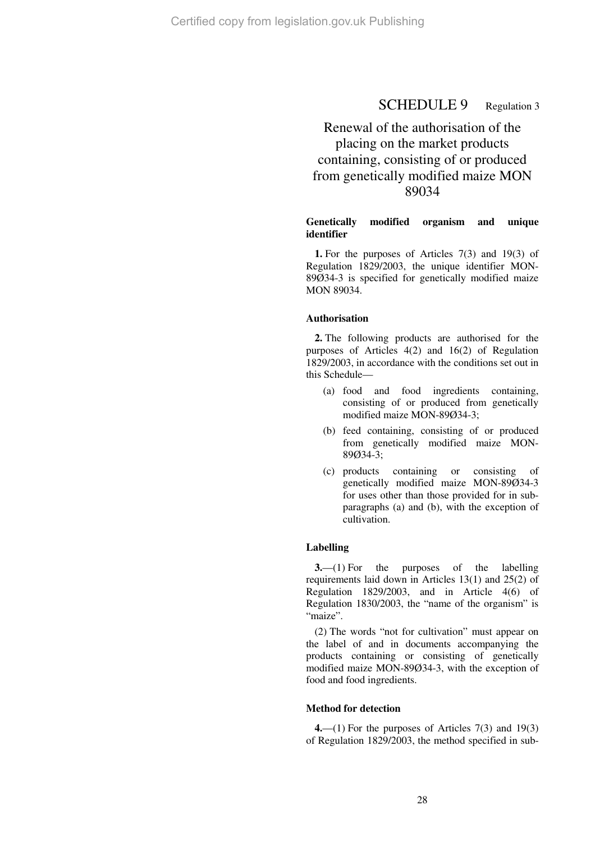# SCHEDULE 9 Regulation 3

# Renewal of the authorisation of the placing on the market products containing, consisting of or produced from genetically modified maize MON 89034

### **Genetically modified organism and unique identifier**

**1.** For the purposes of Articles 7(3) and 19(3) of Regulation 1829/2003, the unique identifier MON-89Ø34-3 is specified for genetically modified maize MON 89034.

#### **Authorisation**

**2.** The following products are authorised for the purposes of Articles 4(2) and 16(2) of Regulation 1829/2003, in accordance with the conditions set out in this Schedule—

- (a) food and food ingredients containing, consisting of or produced from genetically modified maize MON-89Ø34-3;
- (b) feed containing, consisting of or produced from genetically modified maize MON-89Ø34-3;
- (c) products containing or consisting of genetically modified maize MON-89Ø34-3 for uses other than those provided for in subparagraphs (a) and (b), with the exception of cultivation.

#### **Labelling**

**3.**—(1) For the purposes of the labelling requirements laid down in Articles 13(1) and 25(2) of Regulation 1829/2003, and in Article 4(6) of Regulation 1830/2003, the "name of the organism" is "maize".

(2) The words "not for cultivation" must appear on the label of and in documents accompanying the products containing or consisting of genetically modified maize MON-89Ø34-3, with the exception of food and food ingredients.

### **Method for detection**

**4.**—(1) For the purposes of Articles 7(3) and 19(3) of Regulation 1829/2003, the method specified in sub-